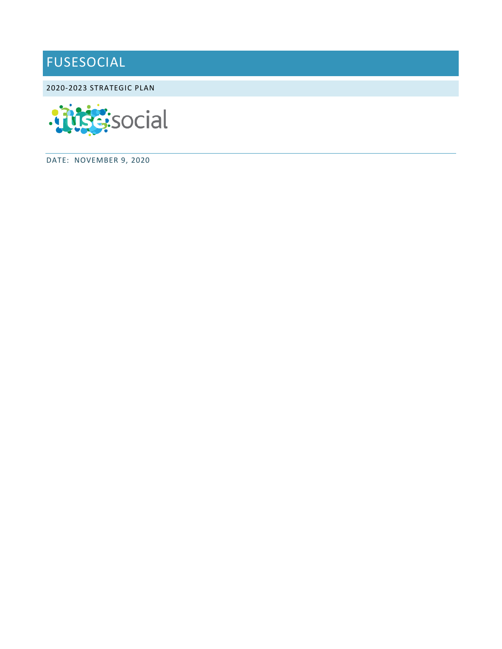# FUSESOCIAL

2020-2023 STRATEGIC PLAN



DATE: NOVEMBER 9, 2020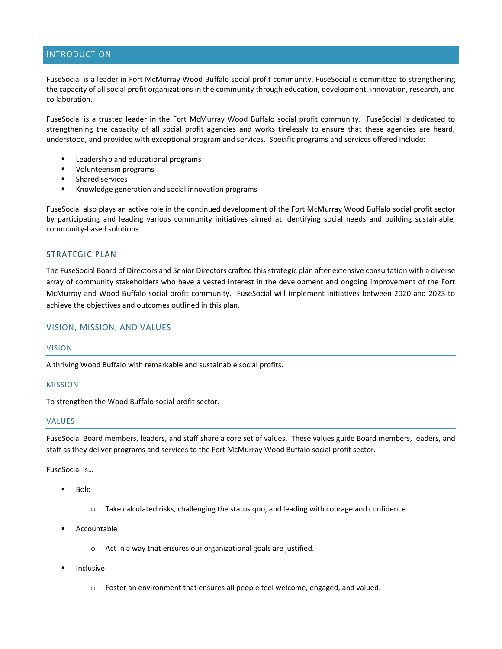# INTRODUCTION

FuseSocial is a leader in Fort McMurray Wood Buffalo social profit community. FuseSocial is committed to strengthening the capacity of all social profit organizations in the community through education, development, innovation, research, and collaboration.

FuseSocial is a trusted leader in the Fort McMurray Wood Buffalo social profit community. FuseSocial is dedicated to strengthening the capacity of all social profit agencies and works tirelessly to ensure that these agencies are heard, understood, and provided with exceptional program and services. Specific programs and services offered include:

- Leadership and educational programs
- **Volunteerism programs**
- **EXECUTE:** Shared services
- **Knowledge generation and social innovation programs**

FuseSocial also plays an active role in the continued development of the Fort McMurray Wood Buffalo social profit sector by participating and leading various community initiatives aimed at identifying social needs and building sustainable, community-based solutions.

# STRATEGIC PLAN

The FuseSocial Board of Directors and Senior Directors crafted this strategic plan after extensive consultation with a diverse array of community stakeholders who have a vested interest in the development and ongoing improvement of the Fort McMurray and Wood Buffalo social profit community. FuseSocial will implement initiatives between 2020 and 2023 to achieve the objectives and outcomes outlined in this plan.

#### VISION, MISSION, AND VALUES

#### VISION

A thriving Wood Buffalo with remarkable and sustainable social profits.

#### MISSION

To strengthen the Wood Buffalo social profit sector.

#### VALUES

FuseSocial Board members, leaders, and staff share a core set of values. These values guide Board members, leaders, and staff as they deliver programs and services to the Fort McMurray Wood Buffalo social profit sector.

FuseSocial is…

- Bold
	- o Take calculated risks, challenging the status quo, and leading with courage and confidence.
- Accountable
	- o Act in a way that ensures our organizational goals are justified.
- Inclusive
	- $\circ$  Foster an environment that ensures all people feel welcome, engaged, and valued.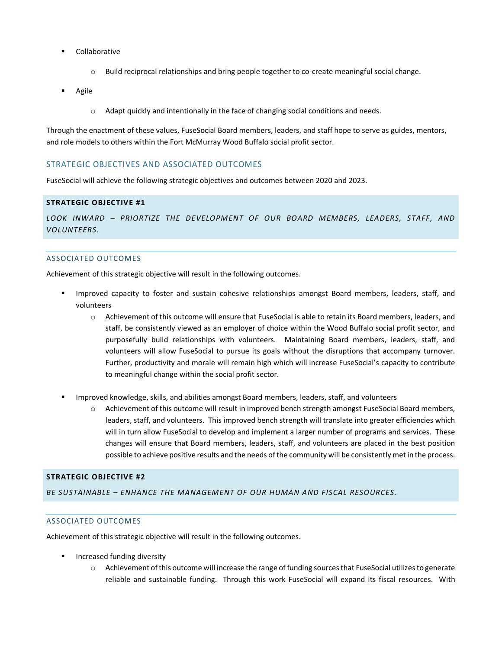- Collaborative
	- o Build reciprocal relationships and bring people together to co-create meaningful social change.
- Agile
	- o Adapt quickly and intentionally in the face of changing social conditions and needs.

Through the enactment of these values, FuseSocial Board members, leaders, and staff hope to serve as guides, mentors, and role models to others within the Fort McMurray Wood Buffalo social profit sector.

# STRATEGIC OBJECTIVES AND ASSOCIATED OUTCOMES

FuseSocial will achieve the following strategic objectives and outcomes between 2020 and 2023.

# **STRATEGIC OBJECTIVE #1**

*LOOK INWARD – PRIORTIZE THE DEVELOPMENT OF OUR BOARD MEMBERS, LEADERS, STAFF, AND VOLUNTEERS.*

#### ASSOCIATED OUTCOMES

Achievement of this strategic objective will result in the following outcomes.

- Improved capacity to foster and sustain cohesive relationships amongst Board members, leaders, staff, and volunteers
	- o Achievement of this outcome will ensure that FuseSocial is able to retain its Board members, leaders, and staff, be consistently viewed as an employer of choice within the Wood Buffalo social profit sector, and purposefully build relationships with volunteers. Maintaining Board members, leaders, staff, and volunteers will allow FuseSocial to pursue its goals without the disruptions that accompany turnover. Further, productivity and morale will remain high which will increase FuseSocial's capacity to contribute to meaningful change within the social profit sector.
- Improved knowledge, skills, and abilities amongst Board members, leaders, staff, and volunteers
	- Achievement of this outcome will result in improved bench strength amongst FuseSocial Board members, leaders, staff, and volunteers. This improved bench strength will translate into greater efficiencies which will in turn allow FuseSocial to develop and implement a larger number of programs and services. These changes will ensure that Board members, leaders, staff, and volunteers are placed in the best position possible to achieve positive results and the needs of the community will be consistently met in the process.

### **STRATEGIC OBJECTIVE #2**

*BE SUSTAINABLE – ENHANCE THE MANAGEMENT OF OUR HUMAN AND FISCAL RESOURCES.*

#### ASSOCIATED OUTCOMES

Achievement of this strategic objective will result in the following outcomes.

- Increased funding diversity
	- o Achievement of this outcome will increase the range of funding sources that FuseSocial utilizes to generate reliable and sustainable funding. Through this work FuseSocial will expand its fiscal resources. With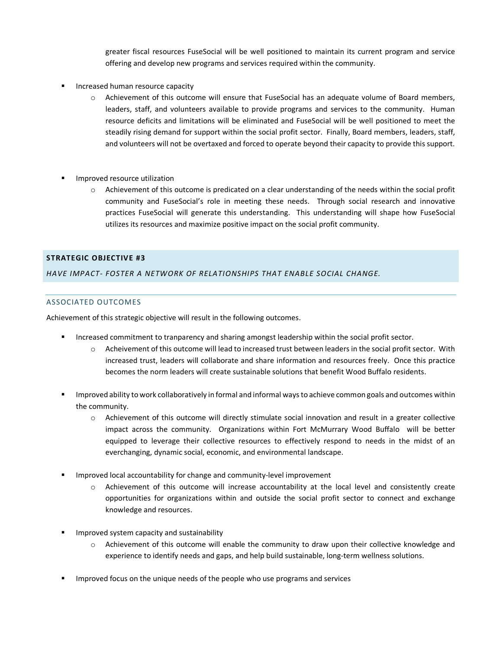greater fiscal resources FuseSocial will be well positioned to maintain its current program and service offering and develop new programs and services required within the community.

- Increased human resource capacity
	- o Achievement of this outcome will ensure that FuseSocial has an adequate volume of Board members, leaders, staff, and volunteers available to provide programs and services to the community. Human resource deficits and limitations will be eliminated and FuseSocial will be well positioned to meet the steadily rising demand for support within the social profit sector. Finally, Board members, leaders, staff, and volunteers will not be overtaxed and forced to operate beyond their capacity to provide this support.
- **Improved resource utilization** 
	- o Achievement of this outcome is predicated on a clear understanding of the needs within the social profit community and FuseSocial's role in meeting these needs. Through social research and innovative practices FuseSocial will generate this understanding. This understanding will shape how FuseSocial utilizes its resources and maximize positive impact on the social profit community.

# **STRATEGIC OBJECTIVE #3**

*HAVE IMPACT- FOSTER A NETWORK OF RELATIONSHIPS THAT ENABLE SOCIAL CHANGE.* 

# ASSOCIATED OUTCOMES

Achievement of this strategic objective will result in the following outcomes.

- Increased commitment to tranparency and sharing amongst leadership within the social profit sector.
	- o Acheivement of this outcome will lead to increased trust between leaders in the social profit sector. With increased trust, leaders will collaborate and share information and resources freely. Once this practice becomes the norm leaders will create sustainable solutions that benefit Wood Buffalo residents.
- Improved ability to work collaboratively in formal and informal ways to achieve common goals and outcomes within the community.
	- o Achievement of this outcome will directly stimulate social innovation and result in a greater collective impact across the community. Organizations within Fort McMurrary Wood Buffalo will be better equipped to leverage their collective resources to effectively respond to needs in the midst of an everchanging, dynamic social, economic, and environmental landscape.
- Improved local accountability for change and community-level improvement
	- o Achievement of this outcome will increase accountability at the local level and consistently create opportunities for organizations within and outside the social profit sector to connect and exchange knowledge and resources.
- **IMPROVED SYSTEM CAPACITY AND SUSTAINABILITY** 
	- o Achievement of this outcome will enable the community to draw upon their collective knowledge and experience to identify needs and gaps, and help build sustainable, long-term wellness solutions.
- **IMPROVED FOLUS** ON the unique needs of the people who use programs and services